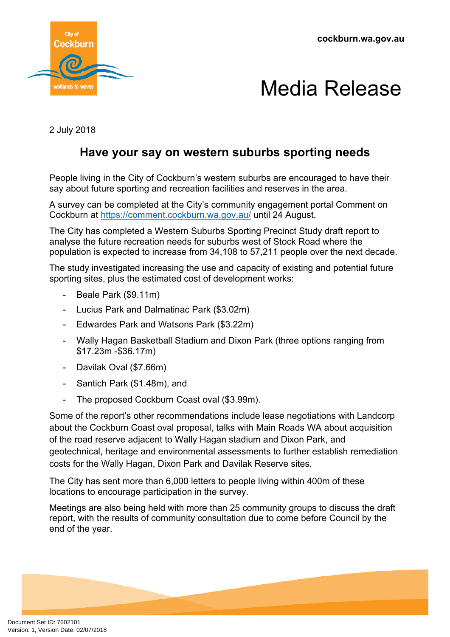



2 July 2018

## **Have your say on western suburbs sporting needs**

People living in the City of Cockburn's western suburbs are encouraged to have their say about future sporting and recreation facilities and reserves in the area.

A survey can be completed at the City's community engagement portal Comment on Cockburn at <https://comment.cockburn.wa.gov.au/> until 24 August.

The City has completed a Western Suburbs Sporting Precinct Study draft report to analyse the future recreation needs for suburbs west of Stock Road where the population is expected to increase from 34,108 to 57,211 people over the next decade.

The study investigated increasing the use and capacity of existing and potential future sporting sites, plus the estimated cost of development works:

- Beale Park (\$9.11m)
- Lucius Park and Dalmatinac Park (\$3.02m)
- Edwardes Park and Watsons Park (\$3.22m)
- Wally Hagan Basketball Stadium and Dixon Park (three options ranging from \$17.23m -\$36.17m)
- Davilak Oval (\$7.66m)
- Santich Park (\$1.48m), and
- The proposed Cockburn Coast oval (\$3.99m).

Some of the report's other recommendations include lease negotiations with Landcorp about the Cockburn Coast oval proposal, talks with Main Roads WA about acquisition of the road reserve adjacent to Wally Hagan stadium and Dixon Park, and geotechnical, heritage and environmental assessments to further establish remediation costs for the Wally Hagan, Dixon Park and Davilak Reserve sites.

The City has sent more than 6,000 letters to people living within 400m of these locations to encourage participation in the survey.

Meetings are also being held with more than 25 community groups to discuss the draft report, with the results of community consultation due to come before Council by the end of the year.